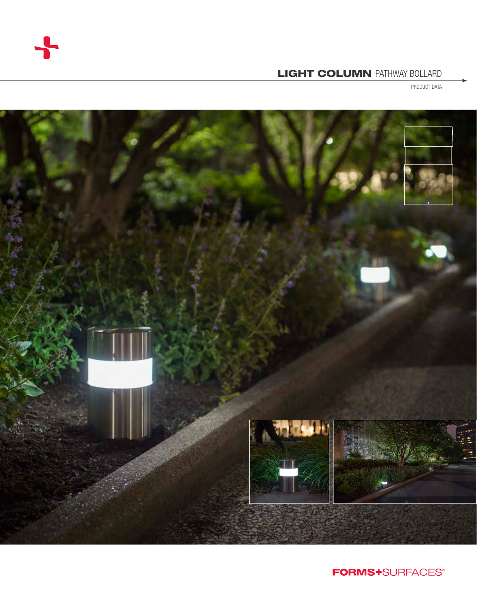

# LIGHT COLUMN PATHWAY BOLLARD

PRODUCT DATA



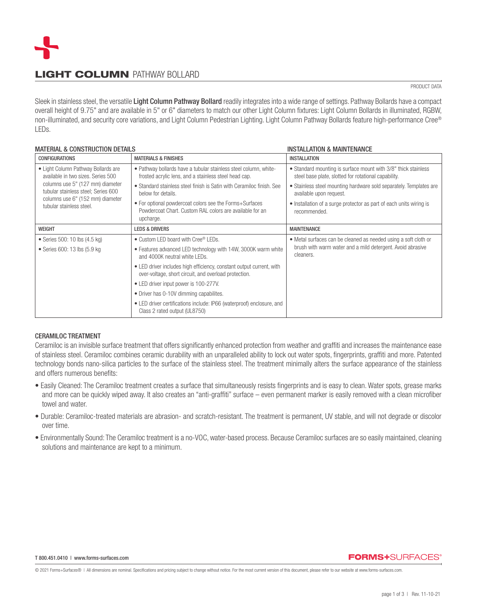

# LIGHT COLUMN PATHWAY BOLLARD

### PRODUCT DATA

Sleek in stainless steel, the versatile Light Column Pathway Bollard readily integrates into a wide range of settings. Pathway Bollards have a compact overall height of 9.75" and are available in 5" or 6" diameters to match our other Light Column fixtures: Light Column Bollards in illuminated, RGBW, non-illuminated, and security core variations, and Light Column Pedestrian Lighting. Light Column Pathway Bollards feature high-performance Cree® LEDs.

## MATERIAL & CONSTRUCTION DETAILS INSTALLATION & MAINTENANCE

| <b>CONFIGURATIONS</b>                                                                                                                                                                                                | <b>MATERIALS &amp; FINISHES</b>                                                                                                  | <b>INSTALLATION</b>                                                                                                    |  |
|----------------------------------------------------------------------------------------------------------------------------------------------------------------------------------------------------------------------|----------------------------------------------------------------------------------------------------------------------------------|------------------------------------------------------------------------------------------------------------------------|--|
| • Light Column Pathway Bollards are<br>available in two sizes. Series 500<br>columns use 5" (127 mm) diameter<br>tubular stainless steel; Series 600<br>columns use 6" (152 mm) diameter<br>tubular stainless steel. | • Pathway bollards have a tubular stainless steel column, white-<br>frosted acrylic lens, and a stainless steel head cap.        | • Standard mounting is surface mount with 3/8" thick stainless<br>steel base plate, slotted for rotational capability. |  |
|                                                                                                                                                                                                                      | • Standard stainless steel finish is Satin with Ceramiloc finish. See<br>below for details.                                      | • Stainless steel mounting hardware sold separately. Templates are<br>available upon request.                          |  |
|                                                                                                                                                                                                                      | • For optional powdercoat colors see the Forms+Surfaces<br>Powdercoat Chart, Custom RAL colors are available for an<br>upcharge. | • Installation of a surge protector as part of each units wiring is<br>recommended.                                    |  |
| <b>WEIGHT</b>                                                                                                                                                                                                        | <b>LEDS &amp; DRIVERS</b>                                                                                                        | <b>MAINTENANCE</b>                                                                                                     |  |
| • Series 500: 10 lbs $(4.5 \text{ kg})$                                                                                                                                                                              | • Custom LED board with Cree® LEDs.                                                                                              | • Metal surfaces can be cleaned as needed using a soft cloth or                                                        |  |
| • Series 600: 13 lbs (5.9 kg)                                                                                                                                                                                        | • Features advanced LED technology with 14W, 3000K warm white<br>and 4000K neutral white LEDs.                                   | brush with warm water and a mild detergent. Avoid abrasive<br>cleaners.                                                |  |
|                                                                                                                                                                                                                      | • LED driver includes high efficiency, constant output current, with<br>over-voltage, short circuit, and overload protection.    |                                                                                                                        |  |
|                                                                                                                                                                                                                      | • LED driver input power is 100-277V.                                                                                            |                                                                                                                        |  |
|                                                                                                                                                                                                                      | • Driver has 0-10V dimming capabilites.                                                                                          |                                                                                                                        |  |
|                                                                                                                                                                                                                      | • LED driver certifications include: IP66 (waterproof) enclosure, and<br>Class 2 rated output (UL8750)                           |                                                                                                                        |  |

## CERAMILOC TREATMENT

Ceramiloc is an invisible surface treatment that offers significantly enhanced protection from weather and graffiti and increases the maintenance ease of stainless steel. Ceramiloc combines ceramic durability with an unparalleled ability to lock out water spots, fingerprints, graffiti and more. Patented technology bonds nano-silica particles to the surface of the stainless steel. The treatment minimally alters the surface appearance of the stainless and offers numerous benefits:

- Easily Cleaned: The Ceramiloc treatment creates a surface that simultaneously resists fingerprints and is easy to clean. Water spots, grease marks and more can be quickly wiped away. It also creates an "anti-graffiti" surface – even permanent marker is easily removed with a clean microfiber towel and water.
- Durable: Ceramiloc-treated materials are abrasion- and scratch-resistant. The treatment is permanent, UV stable, and will not degrade or discolor over time.
- Environmentally Sound: The Ceramiloc treatment is a no-VOC, water-based process. Because Ceramiloc surfaces are so easily maintained, cleaning solutions and maintenance are kept to a minimum.

## **FORMS+SURFACES®**

© 2021 Forms+Surfaces® | All dimensions are nominal. Specifications and pricing subject to change without notice. For the most current version of this document, please refer to our website at www.forms-surfaces.com.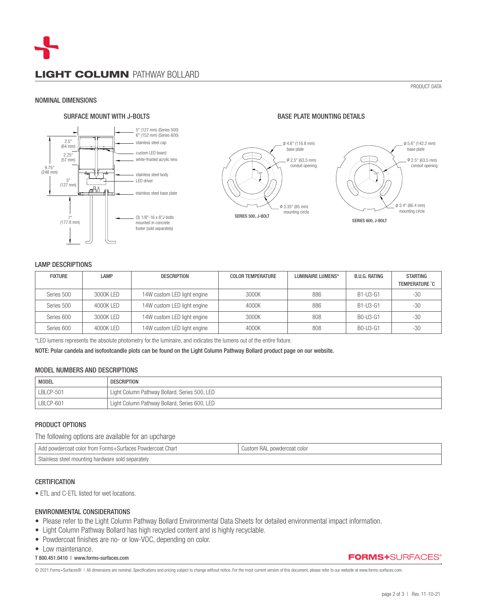### NOMINAL DIMENSIONS

## SURFACE MOUNT WITH J-BOLTS GO AND RESIDENCE AND RESIDENCE PLATE MOUNTING DETAILS



PRODUCT DATA



### LAMP DESCRIPTIONS

| <b>FIXTURE</b> | LAMP      | DESCRIPTION                 | <b>COLOR TEMPERATURE</b> | LUMINAIRE LUMENS* | B.U.G. RATING | <b>STARTING</b><br><b>TEMPERATURE °C</b> |
|----------------|-----------|-----------------------------|--------------------------|-------------------|---------------|------------------------------------------|
| Series 500     | 3000K LED | 14W custom LED light engine | 3000K                    | 886               | B1-U3-G1      | -30                                      |
| Series 500     | 4000K LED | 14W custom LED light engine | 4000K                    | 886               | B1-U3-G1      | $-30$                                    |
| Series 600     | 3000K LED | 14W custom LED light engine | 3000K                    | 808               | B0-U3-G1      | -30                                      |
| Series 600     | 4000K LED | 14W custom LED light engine | 4000K                    | 808               | B0-U3-G1      | $-30$                                    |

\*LED lumens represents the absolute photometry for the luminaire, and indicates the lumens out of the entire fixture.

NOTE: Polar candela and isofootcandle plots can be found on the Light Column Pathway Bollard product page on our website.

## MODEL NUMBERS AND DESCRIPTIONS

| <b>MODEL</b> | <b>DESCRIPTION</b>                                         |
|--------------|------------------------------------------------------------|
| LBLCP-501    | <sup>1</sup> Light Column Pathway Bollard, Series 500, LED |
| LBLCP-601    | <sup>1</sup> Light Column Pathway Bollard, Series 600, LED |

# PRODUCT OPTIONS

The following options are available for an upcharge

| Charl<br>color trom<br>nowdercoat<br>≅+Surtaces<br>⊢horms+<br>∪wdercoat ⊆<br>aaa | RД<br>wdercoat color<br>Gustom |  |  |
|----------------------------------------------------------------------------------|--------------------------------|--|--|
| Stai<br>i separately<br>aless steel mounting hardware sold s                     |                                |  |  |

### **CERTIFICATION**

• ETL and C-ETL listed for wet locations.

## ENVIRONMENTAL CONSIDERATIONS

- Please refer to the Light Column Pathway Bollard Environmental Data Sheets for detailed environmental impact information.
- Light Column Pathway Bollard has high recycled content and is highly recyclable.
- Powdercoat finishes are no- or low-VOC, depending on color.
- Low maintenance.

### T 800.451.0410 | www.forms-surfaces.com

© 2021 Forms+Surfaces® | All dimensions are nominal. Specifications and pricing subject to change without notice. For the most current version of this document, please refer to our website at www.forms-surfaces.com.

**FORMS+**SURFACES®